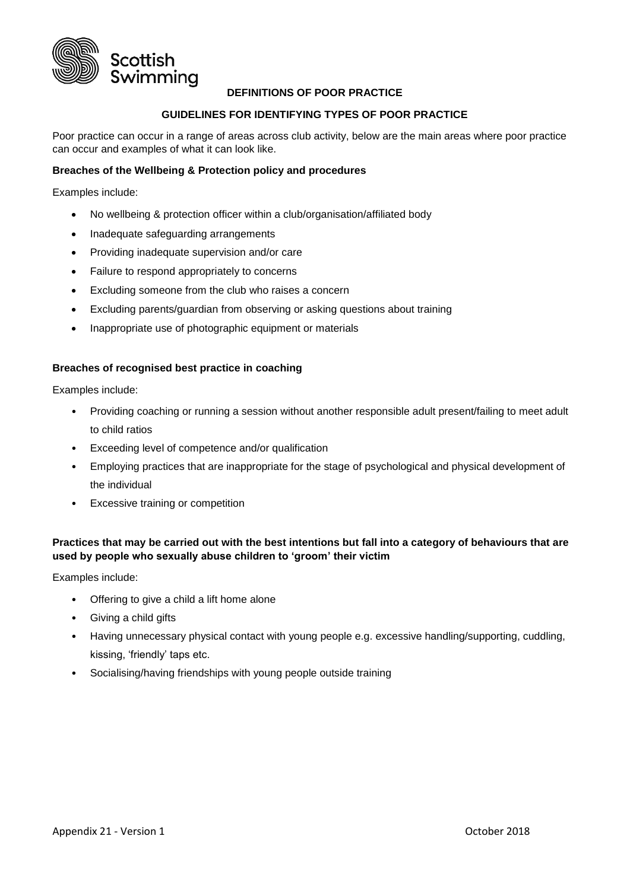

# **DEFINITIONS OF POOR PRACTICE**

### **GUIDELINES FOR IDENTIFYING TYPES OF POOR PRACTICE**

Poor practice can occur in a range of areas across club activity, below are the main areas where poor practice can occur and examples of what it can look like.

### **Breaches of the Wellbeing & Protection policy and procedures**

Examples include:

- No wellbeing & protection officer within a club/organisation/affiliated body
- Inadequate safeguarding arrangements
- Providing inadequate supervision and/or care
- Failure to respond appropriately to concerns
- Excluding someone from the club who raises a concern
- Excluding parents/guardian from observing or asking questions about training
- Inappropriate use of photographic equipment or materials

#### **Breaches of recognised best practice in coaching**

Examples include:

- Providing coaching or running a session without another responsible adult present/failing to meet adult to child ratios
- Exceeding level of competence and/or qualification
- Employing practices that are inappropriate for the stage of psychological and physical development of the individual
- Excessive training or competition

# **Practices that may be carried out with the best intentions but fall into a category of behaviours that are used by people who sexually abuse children to 'groom' their victim**

Examples include:

- Offering to give a child a lift home alone
- Giving a child gifts
- Having unnecessary physical contact with young people e.g. excessive handling/supporting, cuddling, kissing, 'friendly' taps etc.
- Socialising/having friendships with young people outside training